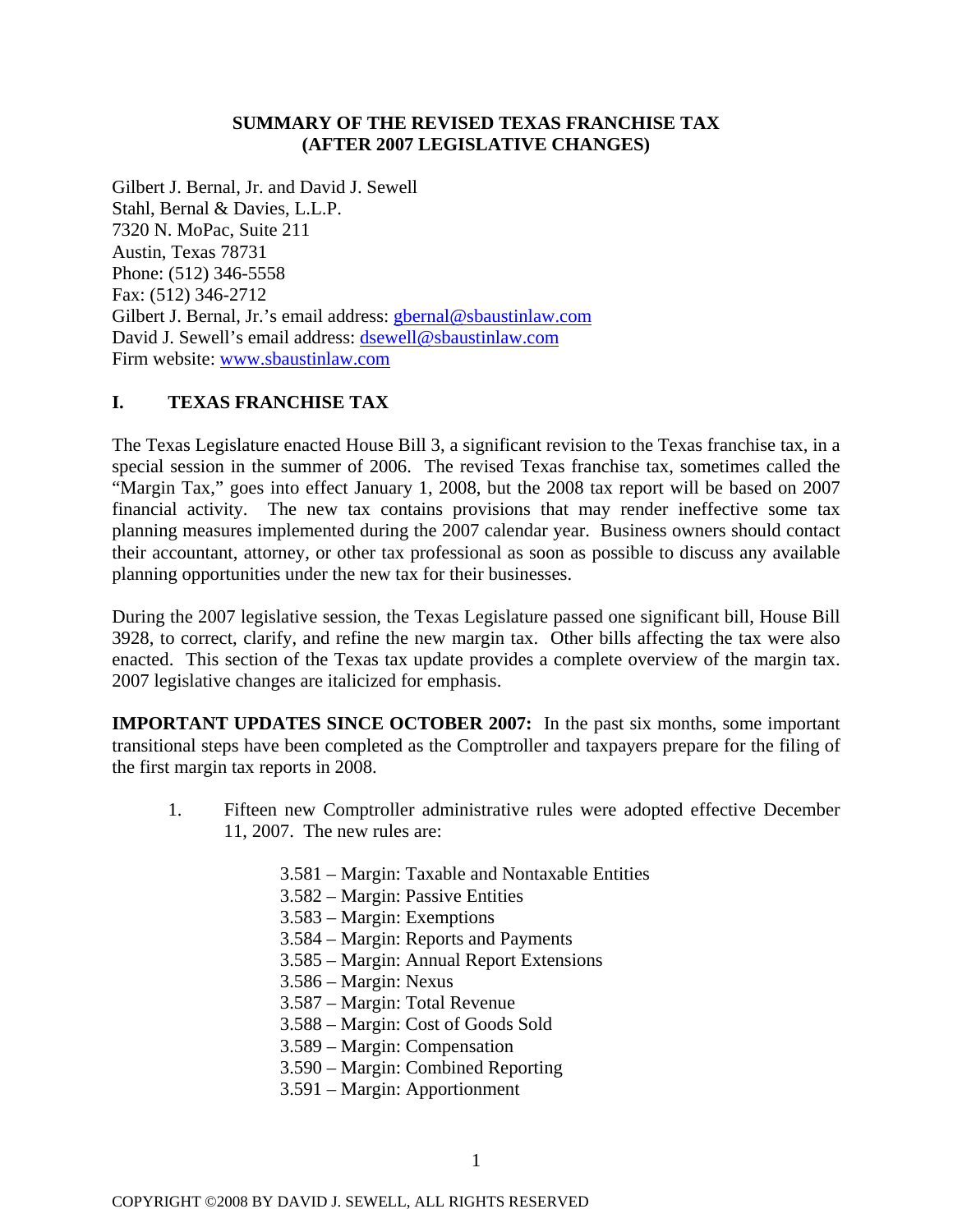# **SUMMARY OF THE REVISED TEXAS FRANCHISE TAX (AFTER 2007 LEGISLATIVE CHANGES)**

Gilbert J. Bernal, Jr. and David J. Sewell Stahl, Bernal & Davies, L.L.P. 7320 N. MoPac, Suite 211 Austin, Texas 78731 Phone: (512) 346-5558 Fax: (512) 346-2712 Gilbert J. Bernal, Jr.'s email address: [gbernal@sbaustinlaw.com](mailto:gbernal@sbaustinlaw.com) David J. Sewell's email address: [dsewell@sbaustinlaw.com](mailto:dsewell@sbaustinlaw.com) Firm website: [www.sbaustinlaw.com](http://www.sbaustinlaw.com/)

# **I. TEXAS FRANCHISE TAX**

The Texas Legislature enacted House Bill 3, a significant revision to the Texas franchise tax, in a special session in the summer of 2006. The revised Texas franchise tax, sometimes called the "Margin Tax," goes into effect January 1, 2008, but the 2008 tax report will be based on 2007 financial activity. The new tax contains provisions that may render ineffective some tax planning measures implemented during the 2007 calendar year. Business owners should contact their accountant, attorney, or other tax professional as soon as possible to discuss any available planning opportunities under the new tax for their businesses.

During the 2007 legislative session, the Texas Legislature passed one significant bill, House Bill 3928, to correct, clarify, and refine the new margin tax. Other bills affecting the tax were also enacted. This section of the Texas tax update provides a complete overview of the margin tax. 2007 legislative changes are italicized for emphasis.

**IMPORTANT UPDATES SINCE OCTOBER 2007:** In the past six months, some important transitional steps have been completed as the Comptroller and taxpayers prepare for the filing of the first margin tax reports in 2008.

- 1. Fifteen new Comptroller administrative rules were adopted effective December 11, 2007. The new rules are:
	- 3.581 Margin: Taxable and Nontaxable Entities
	- 3.582 Margin: Passive Entities
	- 3.583 Margin: Exemptions
	- 3.584 Margin: Reports and Payments
	- 3.585 Margin: Annual Report Extensions
	- 3.586 Margin: Nexus
	- 3.587 Margin: Total Revenue
	- 3.588 Margin: Cost of Goods Sold
	- 3.589 Margin: Compensation
	- 3.590 Margin: Combined Reporting
	- 3.591 Margin: Apportionment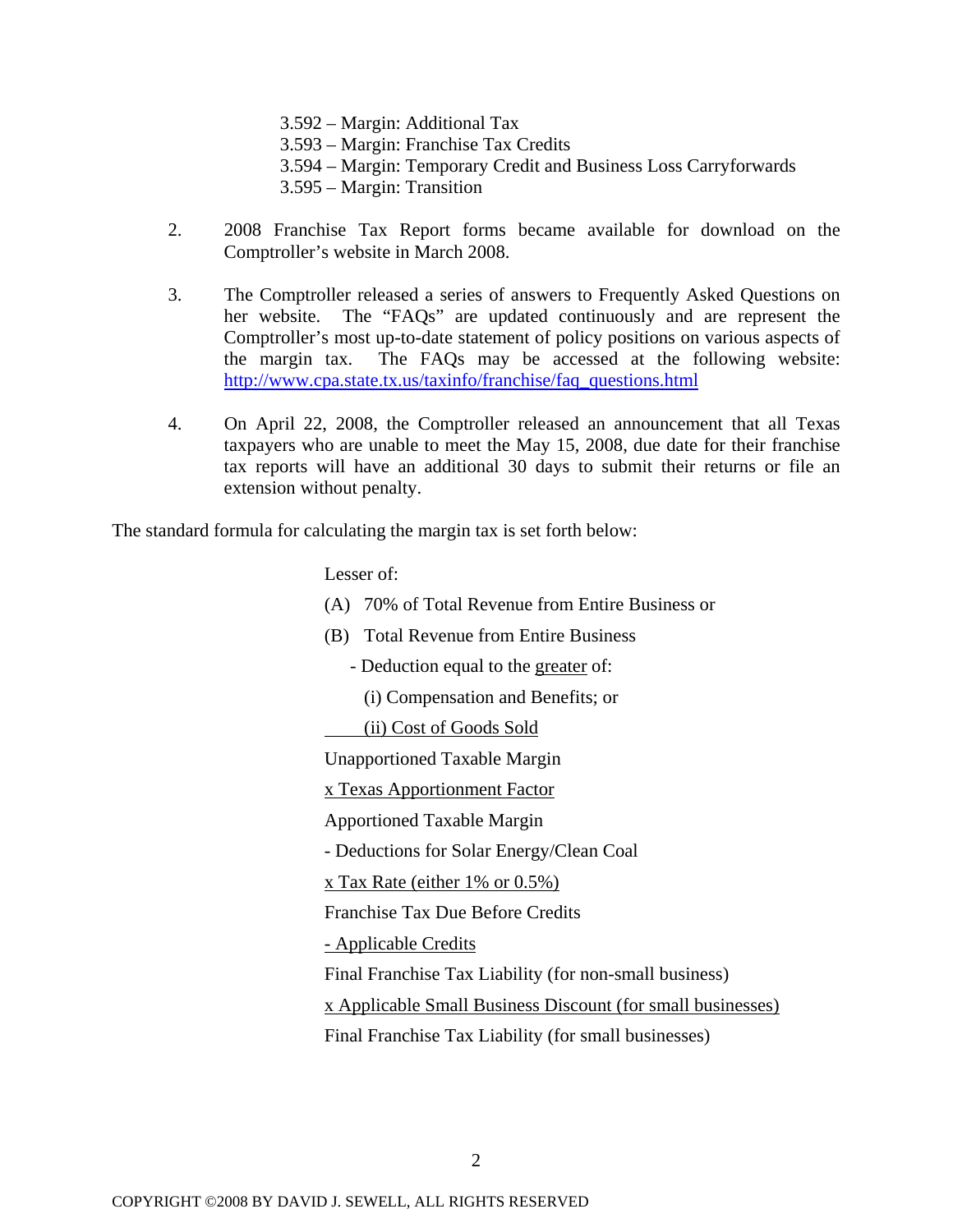3.592 – Margin: Additional Tax

3.593 – Margin: Franchise Tax Credits

- 3.594 Margin: Temporary Credit and Business Loss Carryforwards
- 3.595 Margin: Transition
- 2. 2008 Franchise Tax Report forms became available for download on the Comptroller's website in March 2008.
- 3. The Comptroller released a series of answers to Frequently Asked Questions on her website. The "FAQs" are updated continuously and are represent the Comptroller's most up-to-date statement of policy positions on various aspects of the margin tax. The FAQs may be accessed at the following website: [http://www.cpa.state.tx.us/taxinfo/franchise/faq\\_questions.html](http://www.cpa.state.tx.us/taxinfo/franchise/faq_questions.html)
- 4. On April 22, 2008, the Comptroller released an announcement that all Texas taxpayers who are unable to meet the May 15, 2008, due date for their franchise tax reports will have an additional 30 days to submit their returns or file an extension without penalty.

The standard formula for calculating the margin tax is set forth below:

Lesser of:

- (A) 70% of Total Revenue from Entire Business or
- (B) Total Revenue from Entire Business
- Deduction equal to the greater of:
	- (i) Compensation and Benefits; or

(ii) Cost of Goods Sold

Unapportioned Taxable Margin

x Texas Apportionment Factor

Apportioned Taxable Margin

- Deductions for Solar Energy/Clean Coal

x Tax Rate (either 1% or 0.5%)

Franchise Tax Due Before Credits

- Applicable Credits

Final Franchise Tax Liability (for non-small business)

x Applicable Small Business Discount (for small businesses)

Final Franchise Tax Liability (for small businesses)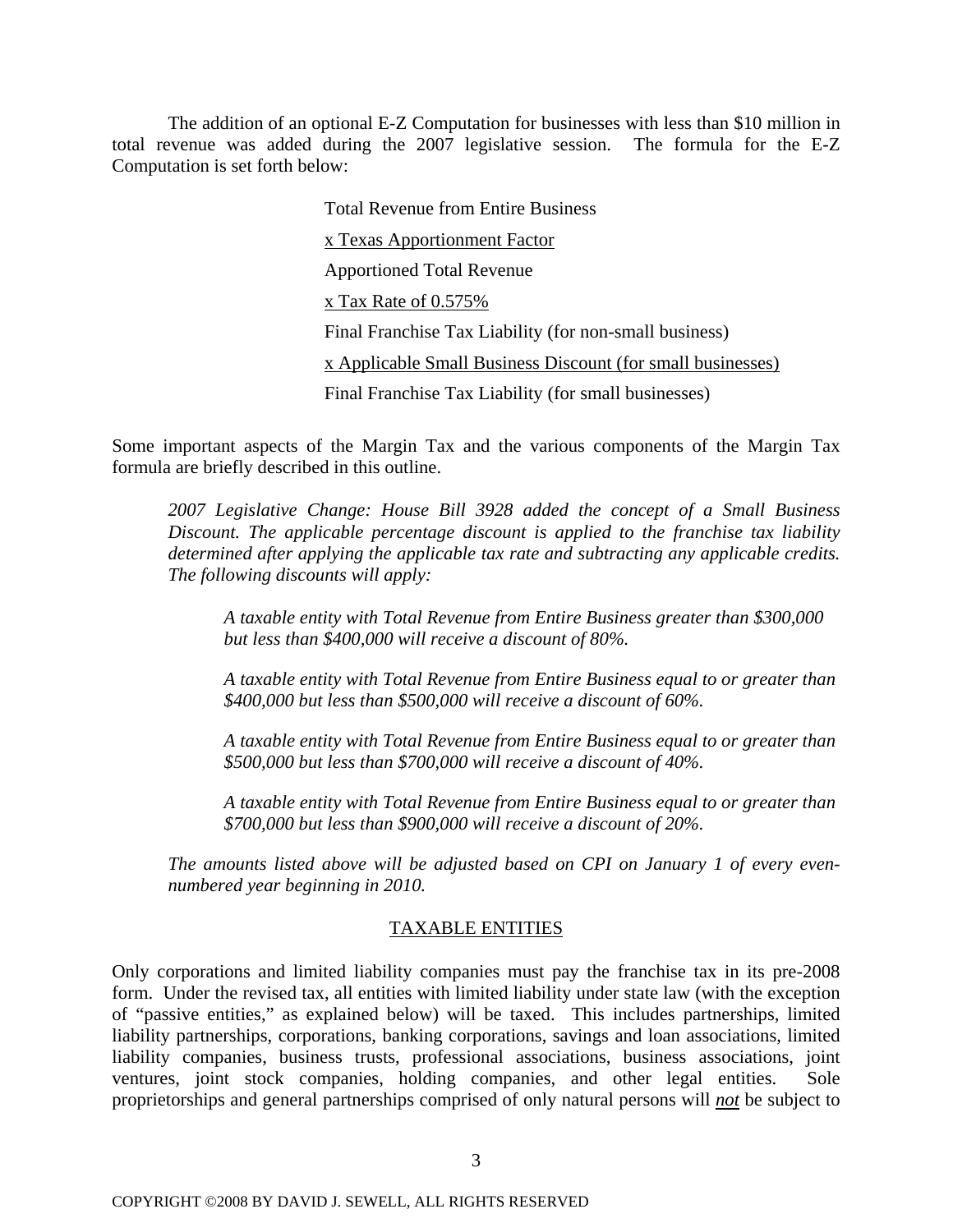The addition of an optional E-Z Computation for businesses with less than \$10 million in total revenue was added during the 2007 legislative session. The formula for the E-Z Computation is set forth below:

> Total Revenue from Entire Business x Texas Apportionment Factor Apportioned Total Revenue x Tax Rate of 0.575% Final Franchise Tax Liability (for non-small business) x Applicable Small Business Discount (for small businesses) Final Franchise Tax Liability (for small businesses)

Some i mportant aspects of the Margin Tax and the various components of the Margin Tax formula are briefly described in this outline.

*Bill 3928 added the concept of a Small Business 2007 Legislative Change: House*  Discount. The applicable percentage discount is applied to the franchise tax liability determined after applying the applicable tax rate and subtracting any applicable credits. *The fol lowing discounts will apply:* 

*A taxable entity with Total Revenue from Entire Business greater than \$300,000 but less than \$400,000 will receive a discount of 80%.* 

*A taxable entity with Total Revenue from Entire Business equal to or greater than \$400,000 but less than \$500,000 will receive a discount of 60%.* 

*A taxable entity with Total Revenue from Entire Business equal to or greater than \$500,000 but less than \$700,000 will receive a discount of 40%.* 

\$700,000 but less than \$900,000 will receive a discount of 20%. *A taxable entity with Total Revenue from Entire Business equal to or greater than* 

The amounts listed above will be adjusted based on CPI on January 1 of every even*numbered year beginning in 2010.* 

### TAXABLE ENTITIES

Only corporations and limited liability companies must pay the franchise tax in its pre-2008 form. Under the revised tax, all entities with limited liability under state law (with the exception of "passive entities," as explained below) will be taxed. This includes partnerships, limited liability partnerships, corporations, banking corporations, savings and loan associations, limited liability companies, business trusts, professional associations, business associations, joint ventures, joint stock companies, holding companies, and other legal entities. Sole proprietorships and general partnerships comprised of only natural persons will *not* be subject to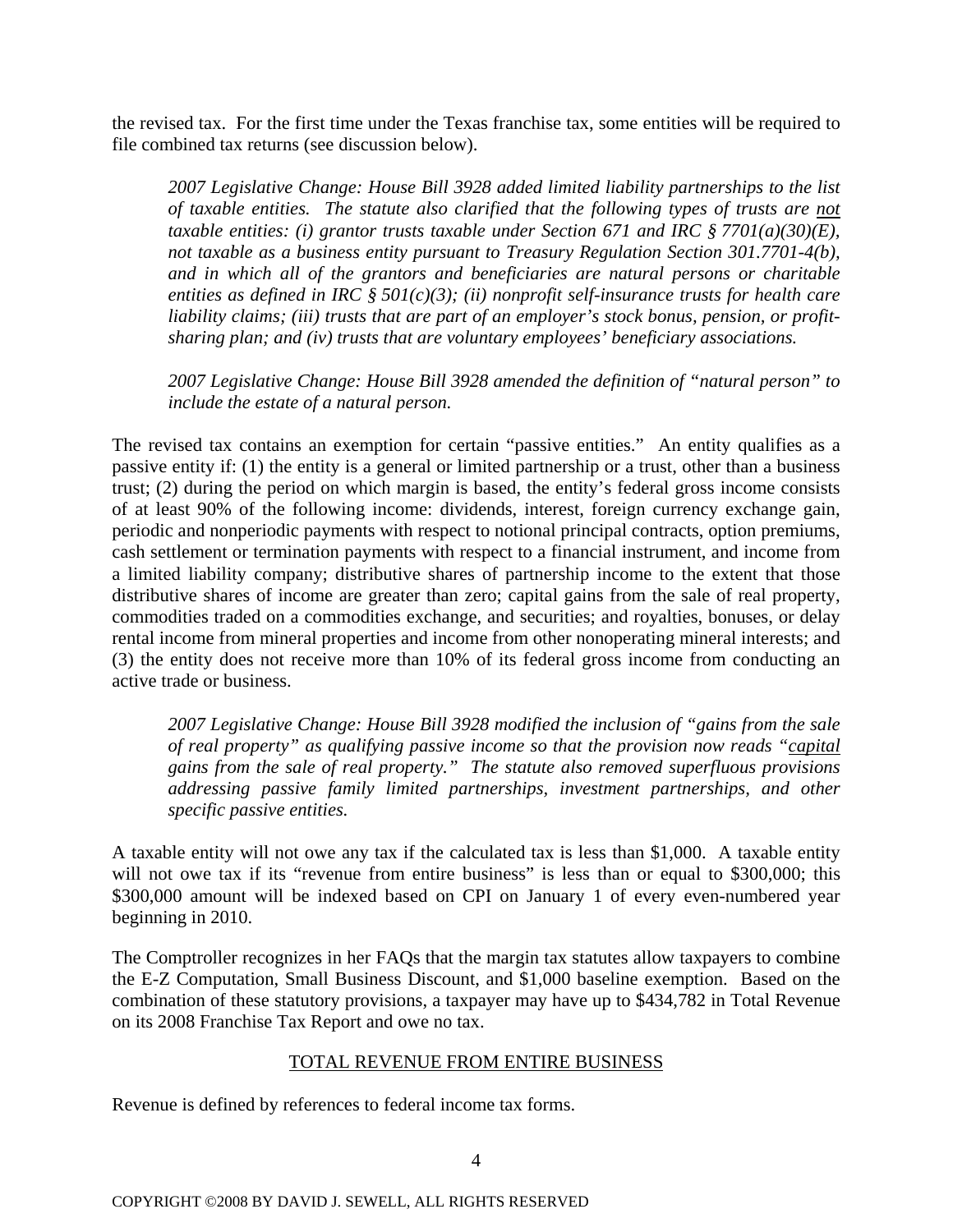the rev ised tax. For the first time under the Texas franchise tax, some entities will be required to file com bined tax returns (see discussion below).

*2007 Legislative Change: House Bill 3928 added limited liability partnerships to the list of taxable entities. The statute also clarified that the following types of trusts are not taxable entities: (i) grantor trusts taxable under Section 671 and IRC § 7701(a)(30)(E), not taxable as a business entity pursuant to Treasury Regulation Section 301.7701-4(b), and in which all of the grantors and beneficiaries are natural persons or charitable entities as defined in IRC § 501(c)(3); (ii) nonprofit self-insurance trusts for health care sharing plan; and (iv) trusts that are voluntary employees' beneficiary associations. liability claims; (iii) trusts that are part of an employer's stock bonus, pension, or profit-*

*2007 Legislative Change: House Bill 3928 amended the definition of "natural person" to include the estate of a natural person.*

commodities traded on a commodities exchange, and securities; and royalties, bonuses, or delay rental income from mineral properties and income from other nonoperating mineral interests; and (3) the entity does not receive more than 10% of its federal gross income from conducting an active t rade or business. The revised tax contains an exemption for certain "passive entities." An entity qualifies as a passive entity if: (1) the entity is a general or limited partnership or a trust, other than a business trust; (2) during the period on which margin is based, the entity's federal gross income consists of at least 90% of the following income: dividends, interest, foreign currency exchange gain, periodic and nonperiodic payments with respect to notional principal contracts, option premiums, cash settlement or termination payments with respect to a financial instrument, and income from a limited liability company; distributive shares of partnership income to the extent that those distributive shares of income are greater than zero; capital gains from the sale of real property,

of real property" as qualifying passive income so that the provision now reads "capital *2007 Legislative Change: House Bill 3928 modified the inclusion of "gains from the sale gains from the sale of real property." The statute also removed superfluous provisions addressing passive family limited partnerships, investment partnerships, and other specific passive entities.* 

A taxable entity will not owe any tax if the calculated tax is less than \$1,000. A taxable entity will not owe tax if its "revenue from entire business" is less than or equal to \$300,000; this \$300,000 amount will be indexed based on CPI on January 1 of every even-numbered year beginning in 2010.

The Comptroller recognizes in her FAQs that the margin tax statutes allow taxpayers to combine the E-Z Computation, Small Business Discount, and \$1,000 baseline exemption. Based on the combination of these statutory provisions, a taxpayer may have up to \$434,782 in Total Revenue on its 2008 Franchise Tax Report and owe no tax.

### TOTAL REVENUE FROM ENTIRE BUSINESS

Revenue is defined by references to federal income tax forms.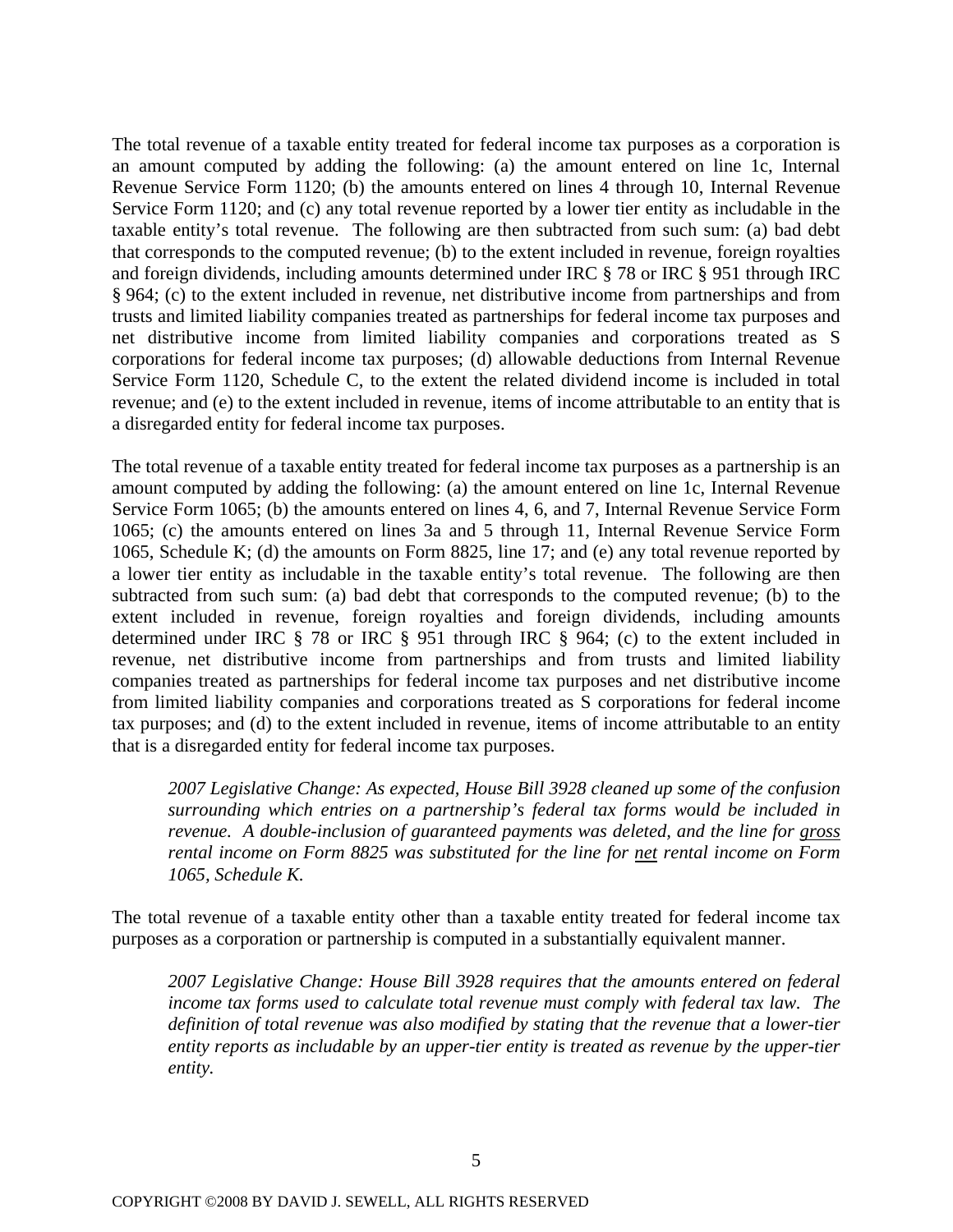The total revenue of a taxable entity treated for federal income tax purposes as a corporation is an amount computed by adding the following: (a) the amount entered on line 1c, Internal Revenue Service Form 1120; (b) the amounts entered on lines 4 through 10, Internal Revenue Service Form 1120; and (c) any total revenue reported by a lower tier entity as includable in the taxable entity's total revenue. The following are then subtracted from such sum: (a) bad debt that corresponds to the computed revenue; (b) to the extent included in revenue, foreign royalties and foreign dividends, including amounts determined under IRC § 78 or IRC § 951 through IRC § 964; (c) to the extent included in revenue, net distributive income from partnerships and from trusts and limited liability companies treated as partnerships for federal income tax purposes and net distributive income from limited liability companies and corporations treated as S corporations for federal income tax purposes; (d) allowable deductions from Internal Revenue Service Form 1120, Schedule C, to the extent the related dividend income is included in total revenue; and (e) to the extent included in revenue, items of income attributable to an entity that is a disregarded entity for federal income tax purposes.

companies treated as partnerships for federal income tax purposes and net distributive income from limited liability companies and corporations treated as S corporations for federal income tax pur poses; and (d) to the extent included in revenue, items of income attributable to an entity that is a disregarded entity for federal income tax purposes. The total revenue of a taxable entity treated for federal income tax purposes as a partnership is an amount computed by adding the following: (a) the amount entered on line 1c, Internal Revenue Service Form 1065; (b) the amounts entered on lines 4, 6, and 7, Internal Revenue Service Form 1065; (c) the amounts entered on lines 3a and 5 through 11, Internal Revenue Service Form 1065, Schedule K; (d) the amounts on Form 8825, line 17; and (e) any total revenue reported by a lower tier entity as includable in the taxable entity's total revenue. The following are then subtracted from such sum: (a) bad debt that corresponds to the computed revenue; (b) to the extent included in revenue, foreign royalties and foreign dividends, including amounts determined under IRC § 78 or IRC § 951 through IRC § 964; (c) to the extent included in revenue, net distributive income from partnerships and from trusts and limited liability

surrounding which entries on a partnership's federal tax forms would be included in *venue. A double-inclusion of guaranteed payments was deleted, and the line for gross re 2007 Legislative Change: As expected, House Bill 3928 cleaned up some of the confusion rental income on Form 8825 was substituted for the line for net rental income on Form 1065, Schedule K.*

The tot al revenue of a taxable entity other than a taxable entity treated for federal income tax purpose s as a corporation or partnership is computed in a substantially equivalent manner.

*tincome tax forms used to calculate total revenue must comply with federal tax law. The definition of total revenue was also modified by stating that the revenue that a lower-tier entity reports as includable by an upper-tier entity is treated as revenue by the upper-tier entity. 2007 Legislative Change: House Bill 3928 requires that the amounts entered on federal*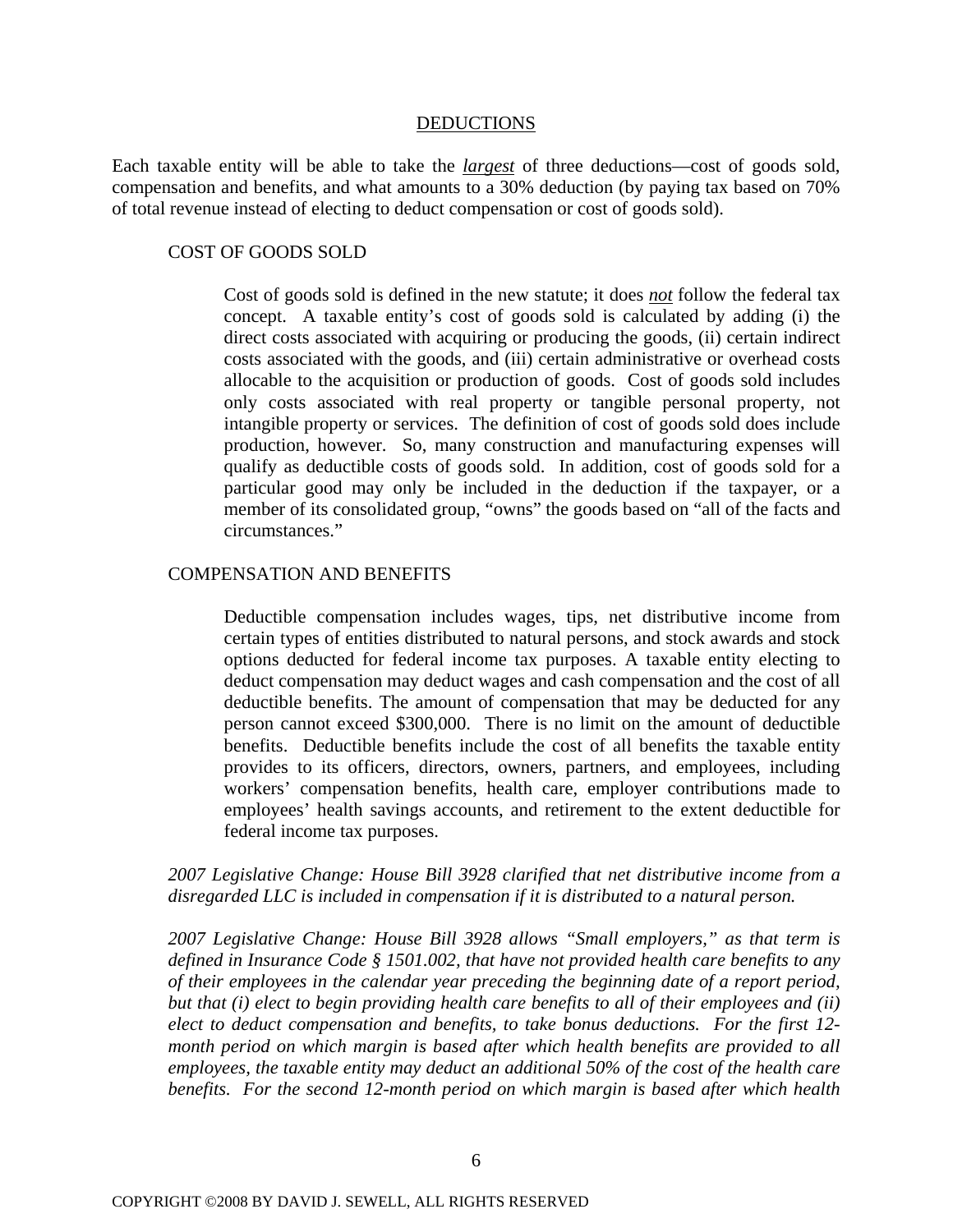### DEDUCTIONS

Each taxable entity will be able to take the *largest* of three deductions—cost of goods sold, compensation and benefits, and what amounts to a 30% deduction (by paying tax based on 70% of total revenue instead of electing to deduct compensation or cost of goods sold).

### COST OF GOODS SOLD

Cost of goods sold is defined in the new statute; it does *not* follow the federal tax concept. A taxable entity's cost of goods sold is calculated by adding (i) the direct costs associated with acquiring or producing the goods, (ii) certain indirect costs associated with the goods, and (iii) certain administrative or overhead costs allocable to the acquisition or production of goods. Cost of goods sold includes only costs associated with real property or tangible personal property, not intangible property or services. The definition of cost of goods sold does include production, however. So, many construction and manufacturing expenses will qualify as deductible costs of goods sold. In addition, cost of goods sold for a particular good may only be included in the deduction if the taxpayer, or a member of its consolidated group, "owns" the goods based on "all of the facts and circumstances."

### COMPENSATION AND BENEFITS

Deductible compensation includes wages, tips, net distributive income from certain types of entities distributed to natural persons, and stock awards and stock options deducted for federal income tax purposes. A taxable entity electing to deduct compensation may deduct wages and cash compensation and the cost of all deductible benefits. The amount of compensation that may be deducted for any person cannot exceed \$300,000. There is no limit on the amount of deductible benefits. Deductible benefits include the cost of all benefits the taxable entity provides to its officers, directors, owners, partners, and employees, including workers' compensation benefits, health care, employer contributions made to employees' health savings accounts, and retirement to the extent deductible for federal income tax purposes.

*2007 Legislative Change: House Bill 3928 clarified that net distributive income from a disregarded LLC is included in compensation if it is distributed to a natural person.*

*2007 Legislative Change: House Bill 3928 allows "Small employers," as that term is defined in Insurance Code § 1501.002, that have not provided health care benefits to any of their employees in the calendar year preceding the beginning date of a report period, but that (i) elect to begin providing health care benefits to all of their employees and (ii) elect to deduct compensation and benefits, to take bonus deductions. For the first 12 month period on which margin is based after which health benefits are provided to all employees, the taxable entity may deduct an additional 50% of the cost of the health care benefits. For the second 12-month period on which margin is based after which health*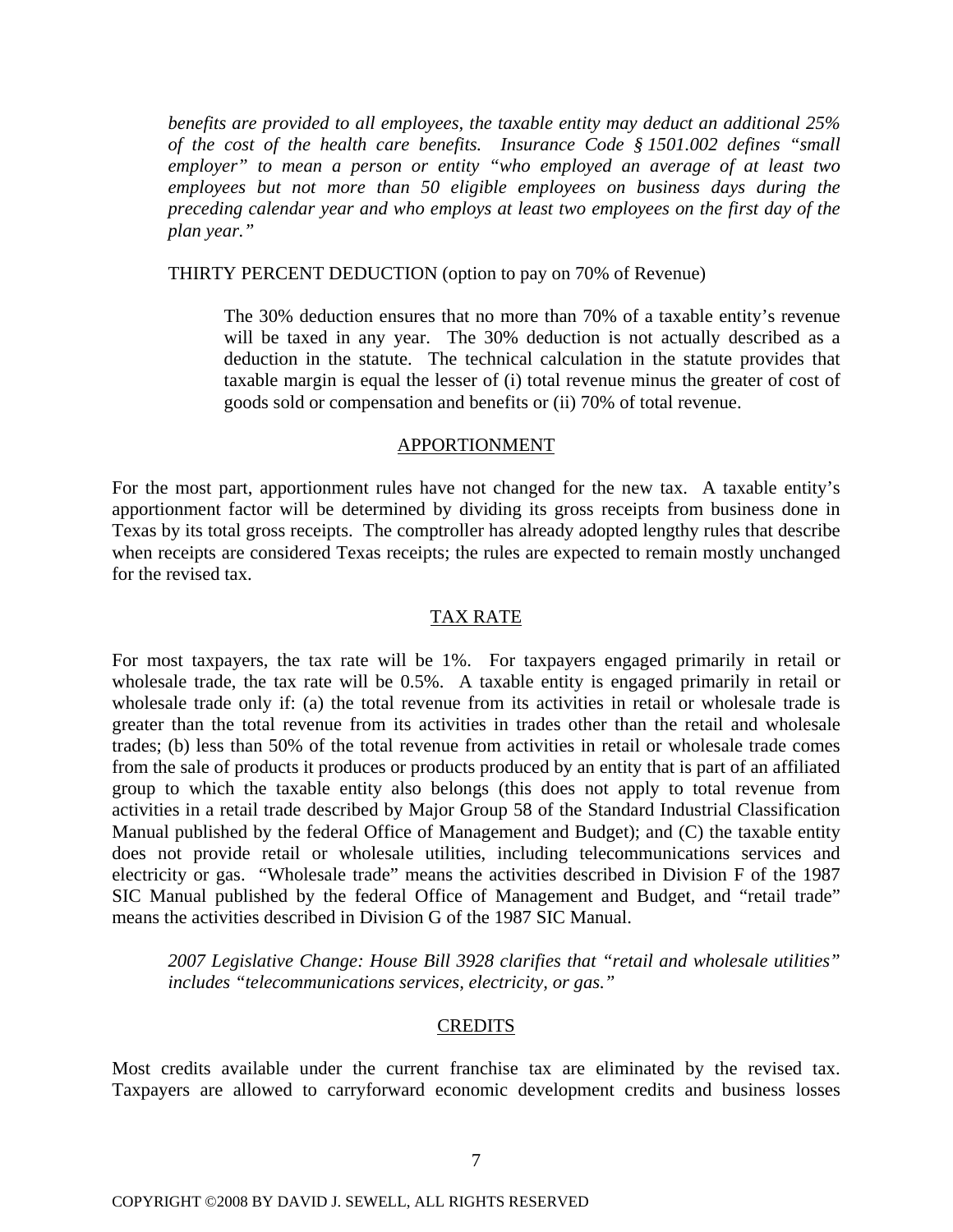*benefits are provided to all employees, the taxable entity may deduct an additional 25% of the cost of the health care benefits. Insurance Code § 1501.002 defines "small employer" to mean a person or entity "who employed an average of at least two employees but not more than 50 eligible employees on business days during the preceding calendar year and who employs at least two employees on the first day of the plan year."* 

### THIRTY PERCENT DEDUCTION (option to pay on 70% of Revenue)

The 30% deduction ensures that no more than 70% of a taxable entity's revenue will be taxed in any year. The 30% deduction is not actually described as a deduction in the statute. The technical calculation in the statute provides that taxable margin is equal the lesser of (i) total revenue minus the greater of cost of goods sold or compensation and benefits or (ii) 70% of total revenue.

#### APPORTIONMENT

For the most part, apportionment rules have not changed for the new tax. A taxable entity's apportionment factor will be determined by dividing its gross receipts from business done in Texas by its total gross receipts. The comptroller has already adopted lengthy rules that describe when receipts are considered Texas receipts; the rules are expected to remain mostly unchanged for the revised tax.

### TAX RATE

For most taxpayers, the tax rate will be 1%. For taxpayers engaged primarily in retail or wholesale trade, the tax rate will be 0.5%. A taxable entity is engaged primarily in retail or wholesale trade only if: (a) the total revenue from its activities in retail or wholesale trade is greater than the total revenue from its activities in trades other than the retail and wholesale trades; (b) less than 50% of the total revenue from activities in retail or wholesale trade comes from the sale of products it produces or products produced by an entity that is part of an affiliated group to which the taxable entity also belongs (this does not apply to total revenue from activities in a retail trade described by Major Group 58 of the Standard Industrial Classification Manual published by the federal Office of Management and Budget); and (C) the taxable entity does not provide retail or wholesale utilities, including telecommunications services and electricity or gas. "Wholesale trade" means the activities described in Division F of the 1987 SIC Manual published by the federal Office of Management and Budget, and "retail trade" means the activities described in Division G of the 1987 SIC Manual.

*2007 Legislative Change: House Bill 3928 clarifies that "retail and wholesale utilities" includes "telecommunications services, electricity, or gas."*

#### CREDITS

Most credits available under the current franchise tax are eliminated by the revised tax. Taxpayers are allowed to carryforward economic development credits and business losses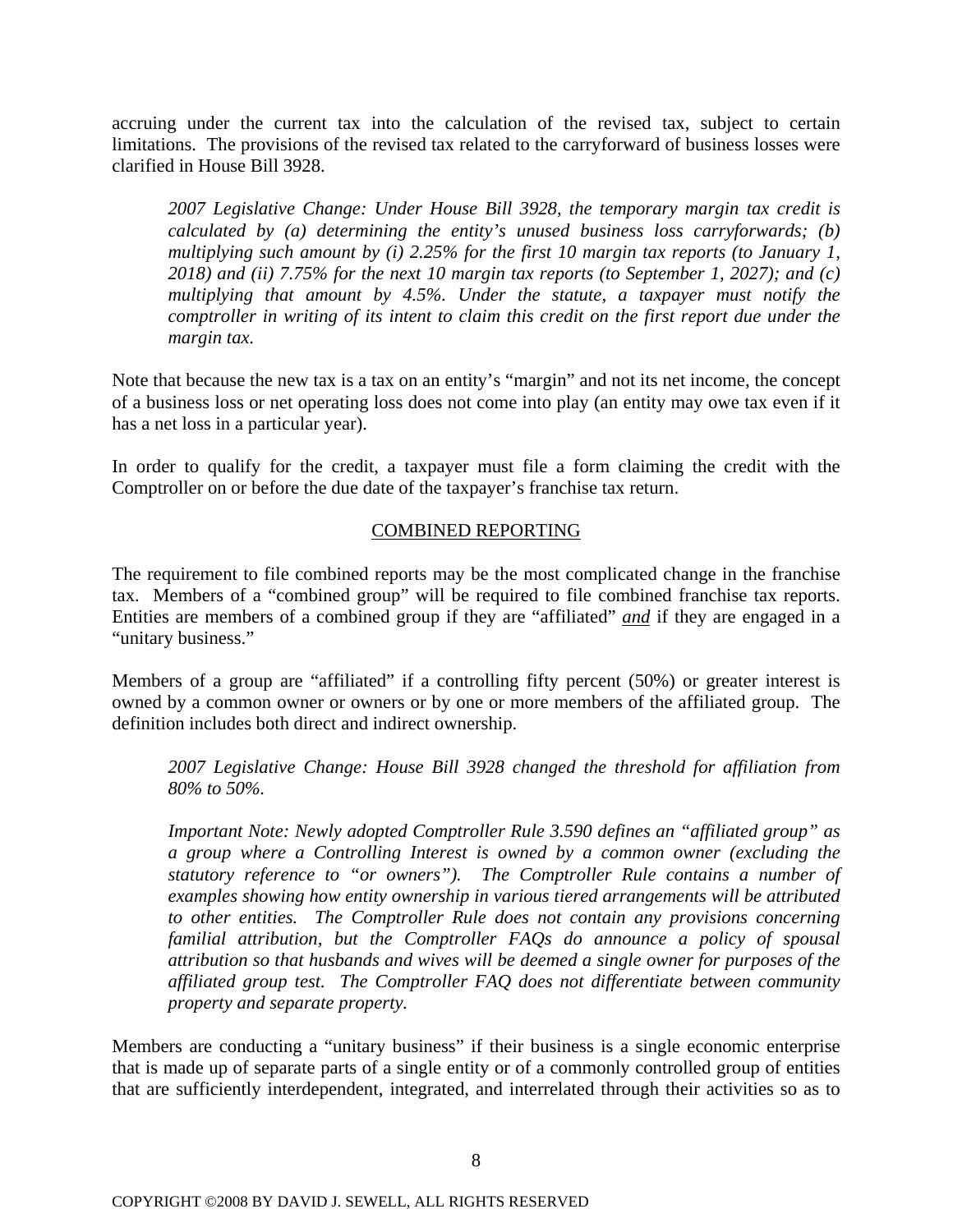accruing under the current tax into the calculation of the revised tax, subject to certain limitations. The provisions of the revised tax related to the carryforward of business losses were clarified in House Bill 3928.

*2007 Legislative Change: Under House Bill 3928, the temporary margin tax credit is calculated by (a) determining the entity's unused business loss carryforwards; (b) multiplying such amount by (i) 2.25% for the first 10 margin tax reports (to January 1, 2018) and (ii) 7.75% for the next 10 margin tax reports (to September 1, 2027); and (c) multiplying that amount by 4.5%. Under the statute, a taxpayer must notify the comptroller in writing of its intent to claim this credit on the first report due under the margin tax.* 

Note that because the new tax is a tax on an entity's "margin" and not its net income, the concept of a business loss or net operating loss does not come into play (an entity may owe tax even if it has a net loss in a particular year).

In order to qualify for the credit, a taxpayer must file a form claiming the credit with the Comptroller on or before the due date of the taxpayer's franchise tax return.

# COMBINED REPORTING

The requirement to file combined reports may be the most complicated change in the franchise tax. Members of a "combined group" will be required to file combined franchise tax reports. Entities are members of a combined group if they are "affiliated" *and* if they are engaged in a "unitary business."

Members of a group are "affiliated" if a controlling fifty percent (50%) or greater interest is owned by a common owner or owners or by one or more members of the affiliated group. The definition includes both direct and indirect ownership.

*2007 Legislative Change: House Bill 3928 changed the threshold for affiliation from 80% to 50%.* 

*Important Note: Newly adopted Comptroller Rule 3.590 defines an "affiliated group" as a group where a Controlling Interest is owned by a common owner (excluding the statutory reference to "or owners"). The Comptroller Rule contains a number of examples showing how entity ownership in various tiered arrangements will be attributed to other entities. The Comptroller Rule does not contain any provisions concerning familial attribution, but the Comptroller FAQs do announce a policy of spousal attribution so that husbands and wives will be deemed a single owner for purposes of the affiliated group test. The Comptroller FAQ does not differentiate between community property and separate property.* 

Members are conducting a "unitary business" if their business is a single economic enterprise that is made up of separate parts of a single entity or of a commonly controlled group of entities that are sufficiently interdependent, integrated, and interrelated through their activities so as to